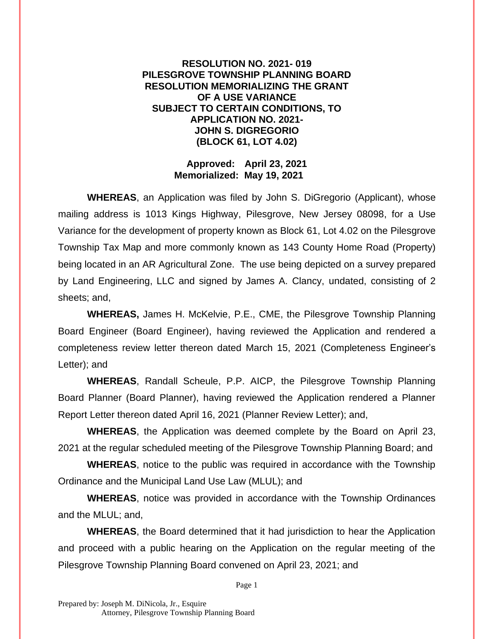## **RESOLUTION NO. 2021- 019 PILESGROVE TOWNSHIP PLANNING BOARD RESOLUTION MEMORIALIZING THE GRANT OF A USE VARIANCE SUBJECT TO CERTAIN CONDITIONS, TO APPLICATION NO. 2021- JOHN S. DIGREGORIO (BLOCK 61, LOT 4.02)**

## **Approved: April 23, 2021 Memorialized: May 19, 2021**

**WHEREAS**, an Application was filed by John S. DiGregorio (Applicant), whose mailing address is 1013 Kings Highway, Pilesgrove, New Jersey 08098, for a Use Variance for the development of property known as Block 61, Lot 4.02 on the Pilesgrove Township Tax Map and more commonly known as 143 County Home Road (Property) being located in an AR Agricultural Zone. The use being depicted on a survey prepared by Land Engineering, LLC and signed by James A. Clancy, undated, consisting of 2 sheets; and,

**WHEREAS,** James H. McKelvie, P.E., CME, the Pilesgrove Township Planning Board Engineer (Board Engineer), having reviewed the Application and rendered a completeness review letter thereon dated March 15, 2021 (Completeness Engineer's Letter); and

**WHEREAS**, Randall Scheule, P.P. AICP, the Pilesgrove Township Planning Board Planner (Board Planner), having reviewed the Application rendered a Planner Report Letter thereon dated April 16, 2021 (Planner Review Letter); and,

**WHEREAS**, the Application was deemed complete by the Board on April 23, 2021 at the regular scheduled meeting of the Pilesgrove Township Planning Board; and

**WHEREAS**, notice to the public was required in accordance with the Township Ordinance and the Municipal Land Use Law (MLUL); and

**WHEREAS**, notice was provided in accordance with the Township Ordinances and the MLUL; and,

**WHEREAS**, the Board determined that it had jurisdiction to hear the Application and proceed with a public hearing on the Application on the regular meeting of the Pilesgrove Township Planning Board convened on April 23, 2021; and

Page 1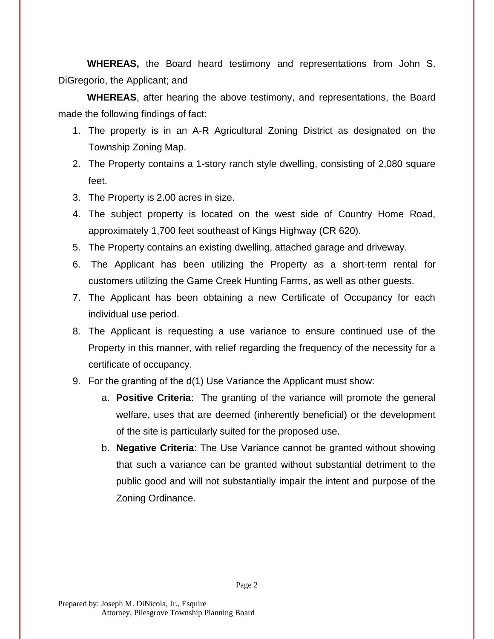**WHEREAS,** the Board heard testimony and representations from John S. DiGregorio, the Applicant; and

**WHEREAS**, after hearing the above testimony, and representations, the Board made the following findings of fact:

- 1. The property is in an A-R Agricultural Zoning District as designated on the Township Zoning Map.
- 2. The Property contains a 1-story ranch style dwelling, consisting of 2,080 square feet.
- 3. The Property is 2.00 acres in size.
- 4. The subject property is located on the west side of Country Home Road, approximately 1,700 feet southeast of Kings Highway (CR 620).
- 5. The Property contains an existing dwelling, attached garage and driveway.
- 6. The Applicant has been utilizing the Property as a short-term rental for customers utilizing the Game Creek Hunting Farms, as well as other guests.
- 7. The Applicant has been obtaining a new Certificate of Occupancy for each individual use period.
- 8. The Applicant is requesting a use variance to ensure continued use of the Property in this manner, with relief regarding the frequency of the necessity for a certificate of occupancy.
- 9. For the granting of the d(1) Use Variance the Applicant must show:
	- a. **Positive Criteria**: The granting of the variance will promote the general welfare, uses that are deemed (inherently beneficial) or the development of the site is particularly suited for the proposed use.
	- b. **Negative Criteria**: The Use Variance cannot be granted without showing that such a variance can be granted without substantial detriment to the public good and will not substantially impair the intent and purpose of the Zoning Ordinance.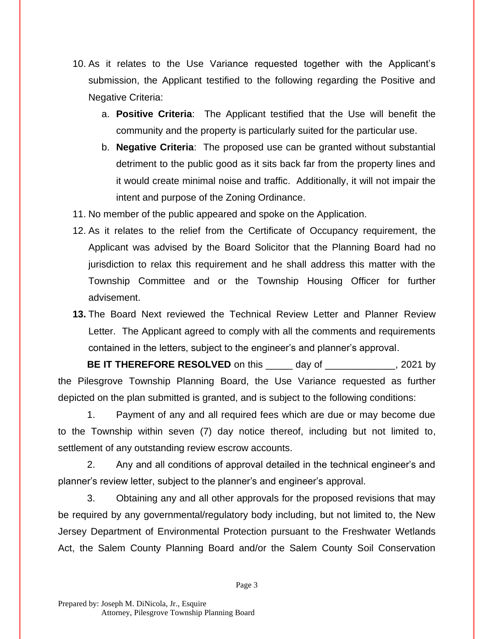- 10. As it relates to the Use Variance requested together with the Applicant's submission, the Applicant testified to the following regarding the Positive and Negative Criteria:
	- a. **Positive Criteria**: The Applicant testified that the Use will benefit the community and the property is particularly suited for the particular use.
	- b. **Negative Criteria**: The proposed use can be granted without substantial detriment to the public good as it sits back far from the property lines and it would create minimal noise and traffic. Additionally, it will not impair the intent and purpose of the Zoning Ordinance.
- 11. No member of the public appeared and spoke on the Application.
- 12. As it relates to the relief from the Certificate of Occupancy requirement, the Applicant was advised by the Board Solicitor that the Planning Board had no jurisdiction to relax this requirement and he shall address this matter with the Township Committee and or the Township Housing Officer for further advisement.
- **13.** The Board Next reviewed the Technical Review Letter and Planner Review Letter. The Applicant agreed to comply with all the comments and requirements contained in the letters, subject to the engineer's and planner's approval.

**BE IT THEREFORE RESOLVED** on this day of the same of the same of the same of the same of the same of the same of the same of the same of the same of the same of the same of the same of the same of the same of the same of the Pilesgrove Township Planning Board, the Use Variance requested as further depicted on the plan submitted is granted, and is subject to the following conditions:

1. Payment of any and all required fees which are due or may become due to the Township within seven (7) day notice thereof, including but not limited to, settlement of any outstanding review escrow accounts.

2. Any and all conditions of approval detailed in the technical engineer's and planner's review letter, subject to the planner's and engineer's approval.

3. Obtaining any and all other approvals for the proposed revisions that may be required by any governmental/regulatory body including, but not limited to, the New Jersey Department of Environmental Protection pursuant to the Freshwater Wetlands Act, the Salem County Planning Board and/or the Salem County Soil Conservation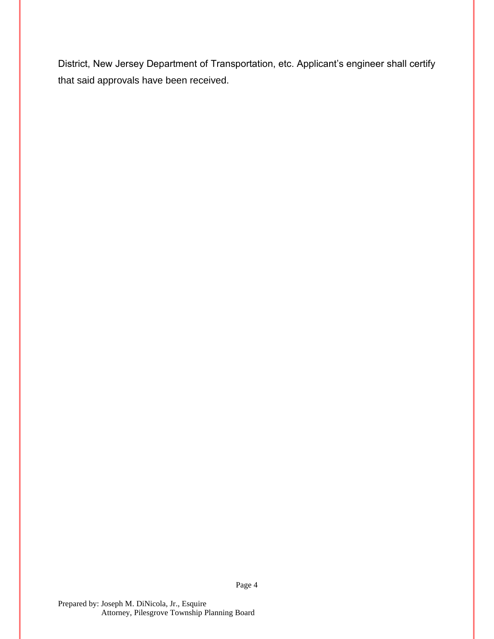District, New Jersey Department of Transportation, etc. Applicant's engineer shall certify that said approvals have been received.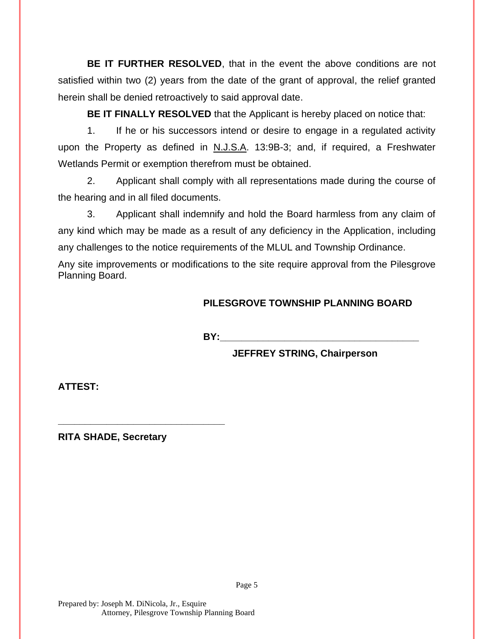**BE IT FURTHER RESOLVED**, that in the event the above conditions are not satisfied within two (2) years from the date of the grant of approval, the relief granted herein shall be denied retroactively to said approval date.

**BE IT FINALLY RESOLVED** that the Applicant is hereby placed on notice that:

1. If he or his successors intend or desire to engage in a regulated activity upon the Property as defined in N.J.S.A. 13:9B-3; and, if required, a Freshwater Wetlands Permit or exemption therefrom must be obtained.

2. Applicant shall comply with all representations made during the course of the hearing and in all filed documents.

3. Applicant shall indemnify and hold the Board harmless from any claim of any kind which may be made as a result of any deficiency in the Application, including any challenges to the notice requirements of the MLUL and Township Ordinance.

Any site improvements or modifications to the site require approval from the Pilesgrove Planning Board.

## **PILESGROVE TOWNSHIP PLANNING BOARD**

**BY:\_\_\_\_\_\_\_\_\_\_\_\_\_\_\_\_\_\_\_\_\_\_\_\_\_\_\_\_\_\_\_\_\_\_\_\_\_**

**JEFFREY STRING, Chairperson**

**ATTEST:**

**RITA SHADE, Secretary**

**\_\_\_\_\_\_\_\_\_\_\_\_\_\_\_\_\_\_\_\_\_\_\_\_\_\_\_\_\_\_\_**